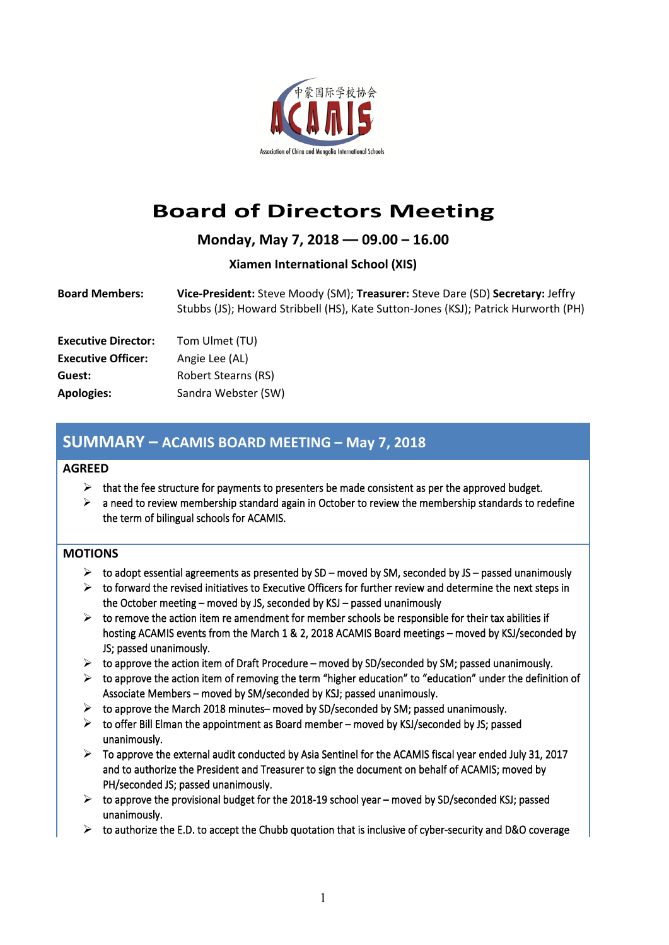

# **Board of Directors Meeting**

**Monday, May 7, 2018 –– 09.00 – 16.00**

### **Xiamen International School (XIS)**

| <b>Board Members:</b> | Vice-President: Steve Moody (SM); Treasurer: Steve Dare (SD) Secretary: Jeffry     |
|-----------------------|------------------------------------------------------------------------------------|
|                       | Stubbs (JS); Howard Stribbell (HS), Kate Sutton-Jones (KSJ); Patrick Hurworth (PH) |

| <b>Executive Director:</b> | Tom Ulmet (TU)             |
|----------------------------|----------------------------|
| <b>Executive Officer:</b>  | Angie Lee (AL)             |
| Guest:                     | <b>Robert Stearns (RS)</b> |
| <b>Apologies:</b>          | Sandra Webster (SW)        |

## **SUMMARY – ACAMIS BOARD MEETING – May 7, 2018**

#### **AGREED**

- $\triangleright$  that the fee structure for payments to presenters be made consistent as per the approved budget.
- $\triangleright$  a need to review membership standard again in October to review the membership standards to redefine the term of bilingual schools for ACAMIS.

#### **MOTIONS**

- $\triangleright$  to adopt essential agreements as presented by SD moved by SM, seconded by JS passed unanimously
- $\triangleright$  to forward the revised initiatives to Executive Officers for further review and determine the next steps in the October meeting – moved by JS, seconded by KSJ – passed unanimously
- $\triangleright$  to remove the action item re amendment for member schools be responsible for their tax abilities if hosting ACAMIS events from the March 1 & 2, 2018 ACAMIS Board meetings – moved by KSJ/seconded by JS; passed unanimously.
- $\triangleright$  to approve the action item of Draft Procedure moved by SD/seconded by SM; passed unanimously.
- $\triangleright$  to approve the action item of removing the term "higher education" to "education" under the definition of Associate Members – moved by SM/seconded by KSJ; passed unanimously.
- $\triangleright$  to approve the March 2018 minutes– moved by SD/seconded by SM; passed unanimously.
- $\triangleright$  to offer Bill Elman the appointment as Board member moved by KSJ/seconded by JS; passed unanimously.
- $\triangleright$  To approve the external audit conducted by Asia Sentinel for the ACAMIS fiscal year ended July 31, 2017 and to authorize the President and Treasurer to sign the document on behalf of ACAMIS; moved by PH/seconded JS; passed unanimously.
- $\triangleright$  to approve the provisional budget for the 2018-19 school year moved by SD/seconded KSJ; passed unanimously.
- $\triangleright$  to authorize the E.D. to accept the Chubb quotation that is inclusive of cyber-security and D&O coverage